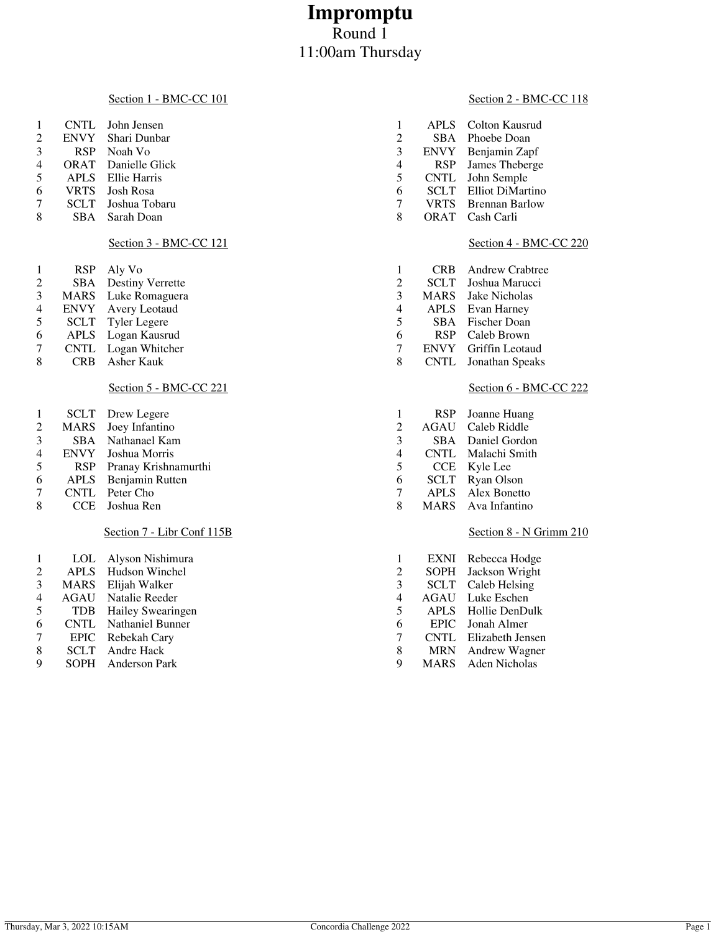# **Impromptu** Round 1 11:00am Thursday

#### Section 1 - BMC-CC 101

|                 |             | CNTL John Jensen           |   | APLS Colton Kausrud          |
|-----------------|-------------|----------------------------|---|------------------------------|
| 2               | <b>ENVY</b> | Shari Dunbar               |   | SBA Phoebe Doan              |
| 3               |             | RSP Noah Vo                |   | ENVY Benjamin Zapf           |
| $\overline{4}$  |             | <b>ORAT</b> Danielle Glick | 4 | RSP James Theberge           |
| 5               |             | APLS Ellie Harris          | 5 | CNTL John Semple             |
| 6               | <b>VRTS</b> | Josh Rosa                  | 6 | <b>SCLT</b> Elliot DiMartino |
| $7\overline{ }$ |             | SCLT Joshua Tobaru         |   | <b>VRTS</b> Brennan Barlow   |
| 8               |             | SBA Sarah Doan             | 8 | ORAT Cash Carli              |
|                 |             |                            |   |                              |

#### Section 3 - BMC-CC 121

| 1 | RSP         | Aly Vo                  |
|---|-------------|-------------------------|
| 2 | <b>SBA</b>  | <b>Destiny Verrette</b> |
| 3 | <b>MARS</b> | Luke Romaguera          |
| 4 | <b>ENVY</b> | Avery Leotaud           |
| 5 | SCLT        | <b>Tyler Legere</b>     |
| 6 | <b>APLS</b> | Logan Kausrud           |
| 7 | <b>CNTI</b> | Logan Whitcher          |

7 CNTL Logan Whitcher<br>8 CRB Asher Kauk CRB Asher Kauk

### Section 5 - BMC-CC 221

| 3 |
|---|
| 4 |
|   |
| 6 |
| ┑ |
| 8 |
|   |
|   |

| 1              | LOL         | Alyson Nishimura  |
|----------------|-------------|-------------------|
| $\mathfrak{D}$ | <b>APLS</b> | Hudson Winchel    |
| 3              | <b>MARS</b> | Elijah Walker     |
| 4              | <b>AGAU</b> | Natalie Reeder    |
| 5              | <b>TDB</b>  | Hailey Swearingen |
| 6              | <b>CNTL</b> | Nathaniel Bunner  |
| 7              | <b>EPIC</b> | Rebekah Cary      |
| 8              | <b>SCLT</b> | Andre Hack        |
| q              | <b>SOPH</b> | Anderson Park     |

#### Section 2 - BMC-CC 118

| 1              | <b>APLS</b> | Colton Kausrud        |
|----------------|-------------|-----------------------|
| 2              | <b>SBA</b>  | Phoebe Doan           |
| 3              | <b>ENVY</b> | Benjamin Zapf         |
| $\overline{4}$ | <b>RSP</b>  | James Theberge        |
| 5              | <b>CNTL</b> | John Semple           |
| 6              | SCLT        | Elliot DiMartino      |
| 7              | <b>VRTS</b> | <b>Brennan Barlow</b> |
| 8              | <b>ORAT</b> | Cash Carli            |

#### Section 4 - BMC-CC 220

| 1 | <b>CRB</b>  | Andrew Crabtree     |
|---|-------------|---------------------|
| 2 | <b>SCLT</b> | Joshua Marucci      |
| 3 | <b>MARS</b> | Jake Nicholas       |
| 4 | <b>APLS</b> | Evan Harney         |
| 5 | SBA.        | <b>Fischer Doan</b> |
| 6 | <b>RSP</b>  | Caleb Brown         |
| 7 | <b>ENVY</b> | Griffin Leotaud     |
| 8 | <b>CNTL</b> | Jonathan Speaks     |

#### Section 6 - BMC-CC 222

| 1 | <b>RSP</b>  | Joanne Huang  |
|---|-------------|---------------|
| 2 | <b>AGAU</b> | Caleb Riddle  |
| 3 | SBA.        | Daniel Gordon |
| 4 | <b>CNTL</b> | Malachi Smith |
| 5 | CCE         | Kyle Lee      |
| 6 | SCLT        | Ryan Olson    |
| 7 | <b>APLS</b> | Alex Bonetto  |
| 8 | <b>MARS</b> | Ava Infantino |

#### Section 8 - N Grimm 210

| 1 | <b>EXNI</b> | Rebecca Hodge    |
|---|-------------|------------------|
| 2 | <b>SOPH</b> | Jackson Wright   |
| 3 | <b>SCLT</b> | Caleb Helsing    |
| 4 | AGAU        | Luke Eschen      |
| 5 | <b>APLS</b> | Hollie DenDulk   |
| 6 | <b>EPIC</b> | Jonah Almer      |
| 7 | <b>CNTL</b> | Elizabeth Jensen |
| 8 | <b>MRN</b>  | Andrew Wagner    |
| 9 | <b>MARS</b> | Aden Nicholas    |